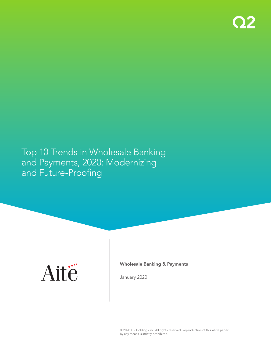

# Top 10 Trends in Wholesale Banking and Payments, 2020: Modernizing and Future-Proofing



Wholesale Banking & Payments

January 2020

© 2020 Q2 Holdings Inc. All rights reserved. Reproduction of this white paper by any means is strictly prohibited.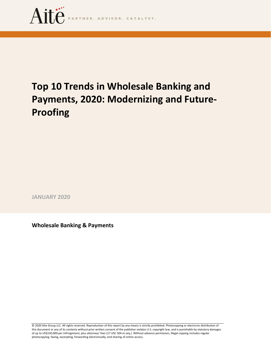

# **Top 10 Trends in Wholesale Banking and Payments, 2020: Modernizing and Future-Proofing**

**JANUARY 2020**

**Wholesale Banking & Payments** 

© 2020 Aite Group LLC. All rights reserved. Reproduction of this report by any means is strictly prohibited. Photocopying or electronic distribution of this document or any of its contents without prior written consent of the publisher violates U.S. copyright law, and is punishable by statutory damages of up to US\$150,000 per infringement, plus attorneys' fees (17 USC 504 et seq.). Without advance permission, illegal copying includes regular photocopying, faxing, excerpting, forwarding electronically, and sharing of online access.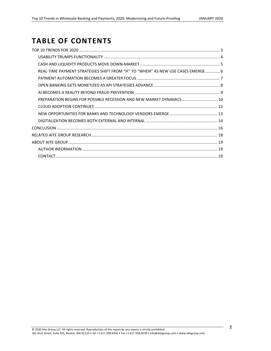# **TABLE OF CONTENTS**

| REAL-TIME PAYMENT STRATEGIES SHIFT FROM "IF" TO "WHEN" AS NEW USE CASES EMERGE 6 |  |
|----------------------------------------------------------------------------------|--|
|                                                                                  |  |
|                                                                                  |  |
|                                                                                  |  |
| PREPARATION BEGINS FOR POSSIBLE RECESSION AND NEW MARKET DYNAMICS 10             |  |
|                                                                                  |  |
|                                                                                  |  |
|                                                                                  |  |
|                                                                                  |  |
|                                                                                  |  |
|                                                                                  |  |
|                                                                                  |  |
|                                                                                  |  |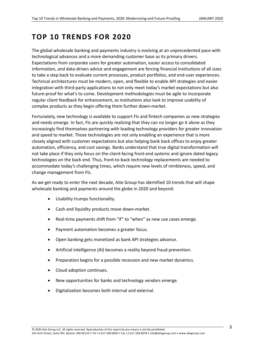# <span id="page-3-0"></span>**TOP 10 TRENDS FOR 2020**

The global wholesale banking and payments industry is evolving at an unprecedented pace with technological advances and a more demanding customer base as its primary drivers. Expectations from corporate users for greater automation, easier access to consolidated information, and data-driven advice and engagement are forcing financial institutions of all sizes to take a step back to evaluate current processes, product portfolios, and end-user experiences. Technical architectures must be modern, open, and flexible to enable API strategies and easier integration with third-party applications to not only meet today's market expectations but also future-proof for what's to come. Development methodologies must be agile to incorporate regular client feedback for enhancement, as institutions also look to improve usability of complex products as they begin offering them further down-market.

Fortunately, new technology is available to support FIs and fintech companies as new strategies and needs emerge. In fact, FIs are quickly realizing that they can no longer go it alone as they increasingly find themselves partnering with leading technology providers for greater innovation and speed to market. Those technologies are not only enabling an experience that is more closely aligned with customer expectations but also helping bank back offices to enjoy greater automation, efficiency, and cost savings. Banks understand that true digital transformation will not take place if they only focus on the client-facing front-end systems and ignore dated legacy technologies on the back end. Thus, front-to-back technology replacements are needed to accommodate today's challenging times, which require new levels of nimbleness, speed, and change management from FIs.

As we get ready to enter the next decade, Aite Group has identified 10 trends that will shape wholesale banking and payments around the globe in 2020 and beyond:

- Usability trumps functionality.
- Cash and liquidity products move down-market.
- Real-time payments shift from "if" to "when" as new use cases emerge.
- Payment automation becomes a greater focus.
- Open banking gets monetized as bank API strategies advance.
- Artificial intelligence (AI) becomes a reality beyond fraud prevention.
- Preparation begins for a possible recession and new market dynamics.
- Cloud adoption continues.
- New opportunities for banks and technology vendors emerge.
- Digitalization becomes both internal and external.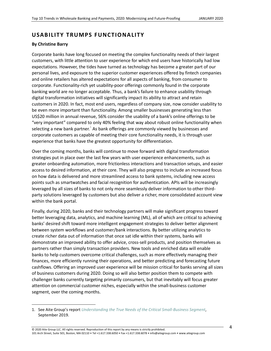# <span id="page-4-0"></span>**USABILITY TRUMPS FUNCTIONALITY**

#### **By Christine Barry**

Corporate banks have long focused on meeting the complex functionality needs of their largest customers, with little attention to user experience for which end users have historically had low expectations. However, the tides have turned as technology has become a greater part of our personal lives, and exposure to the superior customer experiences offered by fintech companies and online retailers has altered expectations for all aspects of banking, from consumer to corporate. Functionality-rich yet usability-poor offerings commonly found in the corporate banking world are no longer acceptable. Thus, a bank's failure to enhance usability through digital transformation initiatives will significantly impact its ability to attract and retain customers in 2020. In fact, most end users, regardless of company size, now consider usability to be even more important than functionality. Among smaller businesses generating less than US\$20 million in annual revenue, 56% consider the usability of a bank's online offerings to be "very important" compared to only 40% feeling that way about robust online functionality when selecting a new bank partner. $^1$  As bank offerings are commonly viewed by businesses and corporate customers as capable of meeting their core functionality needs, it is through user experience that banks have the greatest opportunity for differentiation.

Over the coming months, banks will continue to move forward with digital transformation strategies put in place over the last few years with user experience enhancements, such as greater onboarding automation, more frictionless interactions and transaction setups, and easier access to desired information, at their core. They will also progress to include an increased focus on how data is delivered and more streamlined access to bank systems, including new access points such as smartwatches and facial recognition for authentication. APIs will be increasingly leveraged by all sizes of banks to not only more seamlessly deliver information to other thirdparty solutions leveraged by customers but also deliver a richer, more consolidated account view within the bank portal.

Finally, during 2020, banks and their technology partners will make significant progress toward better leveraging data, analytics, and machine learning (ML), all of which are critical to achieving banks' desired shift toward more intelligent engagement strategies to deliver better alignment between system workflows and customer/bank interactions. By better utilizing analytics to create richer data out of information that once sat idle within their systems, banks will demonstrate an improved ability to offer advice, cross-sell products, and position themselves as partners rather than simply transaction providers. New tools and enriched data will enable banks to help customers overcome critical challenges, such as more effectively managing their finances, more efficiently running their operations, and better predicting and forecasting future cashflows. Offering an improved user experience will be mission critical for banks serving all sizes of business customers during 2020. Doing so will also better position them to compete with challenger banks currently targeting primarily consumers, but that inevitably will focus greater attention on commercial customer niches, especially within the small-business customer segment, over the coming months.

<sup>1.</sup> See Aite Group's report *[Understanding the True Needs of the Critical Small-Business Segment](https://www.aitegroup.com/report/understanding-true-needs-critical-small-business-segment)*, September 2019.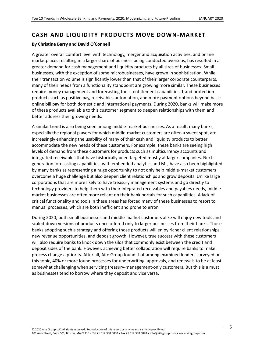### <span id="page-5-0"></span>**CASH AND LIQUIDITY PRODUCTS MOVE DOWN-MARKET**

#### **By Christine Barry and David O'Connell**

A greater overall comfort level with technology, merger and acquisition activities, and online marketplaces resulting in a larger share of business being conducted overseas, has resulted in a greater demand for cash management and liquidity products by all sizes of businesses. Small businesses, with the exception of some microbusinesses, have grown in sophistication. While their transaction volume is significantly lower than that of their larger corporate counterparts, many of their needs from a functionality standpoint are growing more similar. These businesses require money management and forecasting tools, entitlement capabilities, fraud protection products such as positive pay, receivables automation, and more payment options beyond basic online bill pay for both domestic and international payments. During 2020, banks will make more of these products available to this customer segment to deepen relationships with them and better address their growing needs.

A similar trend is also being seen among middle-market businesses. As a result, many banks, especially the regional players for which middle-market customers are often a sweet spot, are increasingly enhancing the usability of many of their cash and liquidity products to better accommodate the new needs of these customers. For example, these banks are seeing high levels of demand from these customers for products such as multicurrency accounts and integrated receivables that have historically been targeted mostly at larger companies. Nextgeneration forecasting capabilities, with embedded analytics and ML, have also been highlighted by many banks as representing a huge opportunity to not only help middle-market customers overcome a huge challenge but also deepen client relationships and grow deposits. Unlike large corporations that are more likely to have treasury management systems and go directly to technology providers to help them with their integrated receivables and payables needs, middlemarket businesses are often more reliant on their bank portals for such capabilities. A lack of critical functionality and tools in these areas has forced many of these businesses to resort to manual processes, which are both inefficient and prone to error.

During 2020, both small businesses and middle-market customers alike will enjoy new tools and scaled-down versions of products once offered only to larger businesses from their banks. Those banks adopting such a strategy and offering those products will enjoy richer client relationships, new revenue opportunities, and deposit growth. However, true success with these customers will also require banks to knock down the silos that commonly exist between the credit and deposit sides of the bank. However, achieving better collaboration will require banks to make process change a priority. After all, Aite Group found that among examined lenders surveyed on this topic, 40% or more found processes for underwriting, approvals, and renewals to be at least somewhat challenging when servicing treasury-management-only customers. But this is a must as businesses tend to borrow where they deposit and vice versa.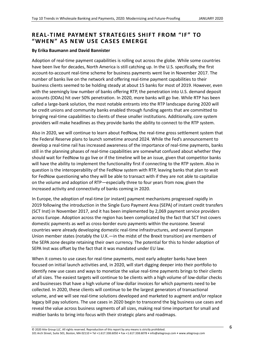## <span id="page-6-0"></span>**REAL-TIME PAYMENT STRATEGIES SHIFT FROM "IF" TO "WHEN" AS NEW USE CASES EMERG E**

#### **By Erika Baumann and David Bannister**

Adoption of real-time payment capabilities is rolling out across the globe. While some countries have been live for decades, North America is still catching up. In the U.S. specifically, the first account-to-account real-time scheme for business payments went live in November 2017. The number of banks live on the network and offering real-time payment capabilities to their business clients seemed to be holding steady at about 15 banks for most of 2019. However, even with the seemingly low number of banks offering RTP, the penetration into U.S. demand deposit accounts (DDAs) hit over 50% penetration. In 2020, more banks will go live. While RTP has been called a large-bank solution, the most notable entrants into the RTP landscape during 2020 will be credit unions and community banks enabled through funding agents that are committed to bringing real-time capabilities to clients of these smaller institutions. Additionally, core system providers will make headlines as they provide banks the ability to connect to the RTP system.

Also in 2020, we will continue to learn about FedNow, the real-time gross settlement system that the Federal Reserve plans to launch sometime around 2024. While the Fed's announcement to develop a real-time rail has increased awareness of the importance of real-time payments, banks still in the planning phases of real-time capabilities are somewhat confused about whether they should wait for FedNow to go live or if the timeline will be an issue, given that competitor banks will have the ability to implement the functionality first if connecting to the RTP system. Also in question is the interoperability of the FedNow system with RTP, leaving banks that plan to wait for FedNow questioning who they will be able to transact with if they are not able to capitalize on the volume and adoption of RTP—especially three to four years from now, given the increased activity and connectivity of banks coming in 2020.

In Europe, the adoption of real-time (or instant) payment mechanisms progressed rapidly in 2019 following the introduction in the Single Euro Payment Area (SEPA) of instant credit transfers (SCT Inst) in November 2017, and it has been implemented by 2,069 payment service providers across Europe. Adoption across the region has been complicated by the fact that SCT Inst covers domestic payments as well as cross-border euro payments within the eurozone. Several countries were already developing domestic real-time infrastructures, and several European Union member states (notably the U.K.—in the midst of the Brexit transition) are members of the SEPA zone despite retaining their own currency. The potential for this to hinder adoption of SEPA Inst was offset by the fact that it was mandated under EU law.

When it comes to use cases for real-time payments, most early adopter banks have been focused on initial launch activities and, in 2020, will start digging deeper into their portfolio to identify new use cases and ways to monetize the value real-time payments brings to their clients of all sizes. The easiest targets will continue to be clients with a high volume of low-dollar checks and businesses that have a high volume of low-dollar invoices for which payments need to be collected. In 2020, these clients will continue to be the largest generators of transactional volume, and we will see real-time solutions developed and marketed to augment and/or replace legacy bill pay solutions. The use cases in 2020 begin to transcend the big business use cases and reveal the value across business segments of all sizes, making real time important for small and midtier banks to bring into focus with their strategic plans and roadmaps.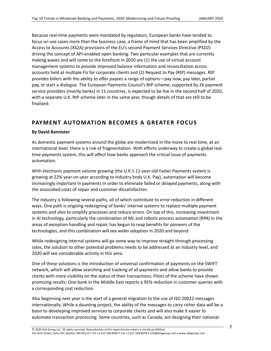Because real-time payments were mandated by regulators, European banks have tended to focus on use cases more than the business case, a frame of mind that has been amplified by the Access to Accounts (XS2A) provisions of the EU's second Payment Services Directive (PSD2) driving the concept of API-enabled open banking. Two particular examples that are currently making waves and will come to the forefront in 2020 are (1) the use of virtual account management systems to provide improved balance information and reconciliation across accounts held at multiple FIs for corporate clients and (2) Request to Pay (RtP) messages. RtP provides billers with the ability to offer payees a range of options—pay now, pay later, partial pay, or start a dialogue. The European Payments Council's RtP scheme, supported by 26 payment service providers (mainly banks) in 11 countries, is expected to be live in the second half of 2020, with a separate U.K. RtP scheme later in the same year, though details of that are still to be finalized.

### <span id="page-7-0"></span>**PAYMENT AUTOMATION BECOMES A GREATER FOCUS**

#### **By David Bannister**

As domestic payment systems around the globe are modernized in the move to real time, at an international level, there is a risk of fragmentation. With efforts underway to create a global realtime payments system, this will affect how banks approach the critical issue of payments automation.

With electronic payment volume growing (the U.K.'s 11-year-old Faster Payments system is growing at 22% year-on-year according to industry body U.K. Pay), automation will become increasingly important in payments in order to eliminate failed or delayed payments, along with the associated costs of repair and customer dissatisfaction.

The industry is following several paths, all of which contribute to error reduction in different ways. One path is ongoing redesigning of banks' internal systems to replace multiple payment systems and silos to simplify processes and reduce errors. On top of this, increasing investment in AI technology, particularly the combination of ML and robotic process automation (RPA) in the areas of exception handling and repair, has begun to reap benefits for pioneers of the technologies, and this combination will see wider adoption in 2020 and beyond.

While redesigning internal systems will go some way to improve straight-through processing rates, the solution to other potential problems needs to be addressed at an industry level, and 2020 will see considerable activity in this area.

One of these solutions is the introduction of universal confirmation of payments on the SWIFT network, which will allow searching and tracking of all payments and allow banks to provide clients with more visibility on the status of their transactions. Pilots of the scheme have shown promising results: One bank in the Middle East reports a 95% reduction in customer queries with a corresponding cost reduction.

Also beginning next year is the start of a general migration to the use of ISO 20022 messages internationally. While a daunting project, the ability of the messages to carry richer data will be a boon to developing improved services to corporate clients and will also make it easier to automate transaction processing. Some countries, such as Canada, are designing their national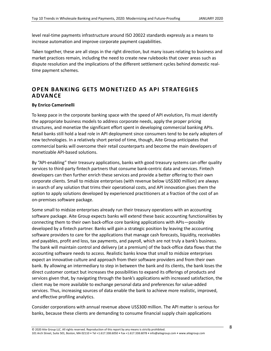level real-time payments infrastructure around ISO 20022 standards expressly as a means to increase automation and improve corporate payment capabilities.

Taken together, these are all steps in the right direction, but many issues relating to business and market practices remain, including the need to create new rulebooks that cover areas such as dispute resolution and the implications of the different settlement cycles behind domestic realtime payment schemes.

# <span id="page-8-0"></span>**OPEN BANKING GETS MONETIZED AS API STRATEGIES ADVANCE**

#### **By Enrico Camerinelli**

To keep pace in the corporate banking space with the speed of API evolution, FIs must identify the appropriate business models to address corporate needs, apply the proper pricing structures, and monetize the significant effort spent in developing commercial banking APIs. Retail banks still hold a lead role in API deployment since consumers tend to be early adopters of new technologies. In a relatively short period of time, though, Aite Group anticipates that commercial banks will overcome their retail counterparts and become the main developers of monetizable API-based solutions.

By "API-enabling" their treasury applications, banks with good treasury systems can offer quality services to third-party fintech partners that consume bank-centric data and services. Fintech developers can then further enrich these services and provide a better offering to their own corporate clients. Small to midsize enterprises (with revenue below US\$300 million) are always in search of any solution that trims their operational costs, and API innovation gives them the option to apply solutions developed by experienced practitioners at a fraction of the cost of an on-premises software package.

Some small to midsize enterprises already run their treasury operations with an accounting software package. Aite Group expects banks will extend these basic accounting functionalities by connecting them to their own back-office core banking applications with APIs—possibly developed by a fintech partner. Banks will gain a strategic position by leaving the accounting software providers to care for the applications that manage cash forecasts, liquidity, receivables and payables, profit and loss, tax payments, and payroll, which are not truly a bank's business. The bank will maintain control and delivery (at a premium) of the back-office data flows that the accounting software needs to access. Realistic banks know that small to midsize enterprises expect an innovative culture and approach from their software providers and from their own bank. By allowing an intermediary to step in between the bank and its clients, the bank loses the direct customer contact but increases the possibilities to expand its offerings of products and services given that, by navigating through the bank's applications with increased satisfaction, the client may be more available to exchange personal data and preferences for value-added services. Thus, increasing sources of data enable the bank to achieve more realistic, improved, and effective profiling analytics.

Consider corporations with annual revenue above US\$300 million. The API matter is serious for banks, because these clients are demanding to consume financial supply chain applications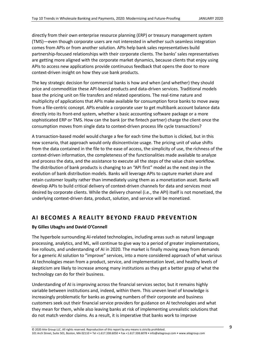directly from their own enterprise resource planning (ERP) or treasury management system (TMS)—even though corporate users are not interested in whether such seamless integration comes from APIs or from another solution. APIs help bank sales representatives build partnership-focused relationships with their corporate clients. The banks' sales representatives are getting more aligned with the corporate market dynamics, because clients that enjoy using APIs to access new applications provide continuous feedback that opens the door to more context-driven insight on how they use bank products.

The key strategic decision for commercial banks is how and when (and whether) they should price and commoditize these API-based products and data-driven services. Traditional models base the pricing unit on file transfers and related operations. The real-time nature and multiplicity of applications that APIs make available for consumption force banks to move away from a file-centric concept. APIs enable a corporate user to get multibank account balance data directly into its front-end system, whether a basic accounting software package or a more sophisticated ERP or TMS. How can the bank (or the fintech partner) charge the client once the consumption moves from single data to context-driven process life cycle transactions?

A transaction-based model would charge a fee for each time the button is clicked, but in this new scenario, that approach would only disincentivize usage. The pricing unit of value shifts from the data contained in the file to the ease of access, the simplicity of use, the richness of the context-driven information, the completeness of the functionalities made available to analyze and process the data, and the assistance to execute all the steps of the value chain workflow. The distribution of bank products is changing to an "API first" model as the next step in the evolution of bank distribution models. Banks will leverage APIs to capture market share and retain customer loyalty rather than immediately using them as a monetization asset. Banks will develop APIs to build critical delivery of context-driven channels for data and services most desired by corporate clients. While the delivery channel (i.e., the API) itself is not monetized, the underlying context-driven data, product, solution, and service will be monetized.

# <span id="page-9-0"></span>**AI BECOMES A REALITY BEYOND FRAUD PREVENTION**

#### **By Gilles Ubaghs and David O'Connell**

The hyperbole surrounding AI-related technologies, including areas such as natural language processing, analytics, and ML, will continue to give way to a period of greater implementations, live rollouts, and understanding of AI in 2020. The market is finally moving away from demands for a generic AI solution to "improve" services, into a more considered approach of what various AI technologies mean from a product, service, and implementation level, and healthy levels of skepticism are likely to increase among many institutions as they get a better grasp of what the technology can do for their business.

Understanding of AI is improving across the financial services sector, but it remains highly variable between institutions and, indeed, within them. This uneven level of knowledge is increasingly problematic for banks as growing numbers of their corporate and business customers seek out their financial service providers for guidance on AI technologies and what they mean for them, while also leaving banks at risk of implementing unrealistic solutions that do not match vendor claims. As a result, it is imperative that banks work to improve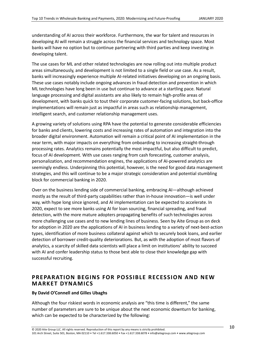understanding of AI across their workforce. Furthermore, the war for talent and resources in developing AI will remain a struggle across the financial services and technology space. Most banks will have no option but to continue partnering with third parties and keep investing in developing talent.

The use cases for ML and other related technologies are now rolling out into multiple product areas simultaneously, and development is not limited to a single field or use case. As a result, banks will increasingly experience multiple AI-related initiatives developing on an ongoing basis. These use cases notably include ongoing advances in fraud detection and prevention in which ML technologies have long been in use but continue to advance at a startling pace. Natural language processing and digital assistants are also likely to remain high-profile areas of development, with banks quick to tout their corporate customer-facing solutions, but back-office implementations will remain just as impactful in areas such as relationship management, intelligent search, and customer relationship management uses.

A growing variety of solutions using RPA have the potential to generate considerable efficiencies for banks and clients, lowering costs and increasing rates of automation and integration into the broader digital environment. Automation will remain a critical point of AI implementation in the near term, with major impacts on everything from onboarding to increasing straight-through processing rates. Analytics remains potentially the most impactful, but also difficult to predict, focus of AI development. With use cases ranging from cash forecasting, customer analysis, personalization, and recommendation engines, the applications of AI-powered analytics are seemingly endless. Underpinning this potential, however, is the need for good data management strategies, and this will continue to be a major strategic consideration and potential stumbling block for commercial banking in 2020.

Over on the business lending side of commercial banking, embracing AI—although achieved mostly as the result of third-party capabilities rather than in-house innovation—is well under way, with hype long since ignored, and AI implementation can be expected to accelerate. In 2020, expect to see more banks using AI for loan sourcing, financial spreading, and fraud detection, with the more mature adopters propagating benefits of such technologies across more challenging use cases and to new lending lines of business. Seen by Aite Group as on deck for adoption in 2020 are the applications of AI in business lending to a variety of next-best-action types, identification of more business collateral against which to securely book loans, and earlier detection of borrower credit-quality deteriorations. But, as with the adoption of most flavors of analytics, a scarcity of skilled data scientists will place a limit on institutions' ability to succeed with AI and confer leadership status to those best able to close their knowledge gap with successful recruiting.

### <span id="page-10-0"></span>**PREPARATION BEGINS FOR POSSIBLE RECESSION AND NEW MARKET DYNAMICS**

#### **By David O'Connell and Gilles Ubaghs**

Although the four riskiest words in economic analysis are "this time is different," the same number of parameters are sure to be unique about the next economic downturn for banking, which can be expected to be characterized by the following: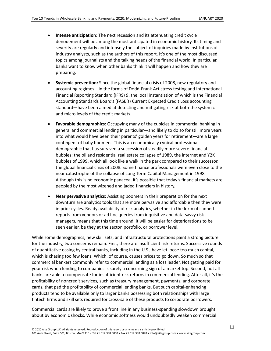- **Intense anticipation:** The next recession and its attenuating credit cycle denouement will be among the most anticipated in economic history. Its timing and severity are regularly and intensely the subject of inquiries made by institutions of industry analysts, such as the authors of this report. It's one of the most discussed topics among journalists and the talking heads of the financial world. In particular, banks want to know when other banks think it will happen and how they are preparing.
- **Systemic prevention:** Since the global financial crisis of 2008, new regulatory and accounting regimes—in the forms of Dodd-Frank Act stress testing and International Financial Reporting Standard (IFRS) 9, the local instantiation of which is the Financial Accounting Standards Board's (FASB's) Current Expected Credit Loss accounting standard—have been aimed at detecting and mitigating risk at both the systemic and micro levels of the credit markets.
- **Favorable demographics:** Occupying many of the cubicles in commercial banking in general and commercial lending in particular—and likely to do so for still more years into what would have been their parents' golden years for retirement—are a large contingent of baby boomers. This is an economically cynical professional demographic that has survived a succession of steadily more severe financial bubbles: the oil and residential real estate collapse of 1989, the internet and Y2K bubbles of 1999, which all look like a walk in the park compared to their successor, the global financial crisis of 2008. Some finance professionals were even close to the near catastrophe of the collapse of Long-Term Capital Management in 1998. Although this is no economic panacea, it's possible that today's financial markets are peopled by the most wizened and jaded financiers in history.
- **Near pervasive analytics:** Assisting boomers in their preparation for the next downturn are analytics tools that are more pervasive and affordable then they were in prior cycles. Ready availability of risk analytics, whether in the form of canned reports from vendors or ad hoc queries from inquisitive and data-savvy risk managers, means that this time around, it will be easier for deteriorations to be seen earlier, be they at the sector, portfolio, or borrower level.

While some demographics, new skill sets, and infrastructural protections paint a strong picture for the industry, two concerns remain. First, there are insufficient risk returns. Successive rounds of quantitative easing by central banks, including in the U.S., have let loose too much capital, which is chasing too few loans. Which, of course, causes prices to go down. So much so that commercial bankers commonly refer to commercial lending as a loss leader. Not getting paid for your risk when lending to companies is surely a concerning sign of a market top. Second, not all banks are able to compensate for insufficient risk returns in commercial lending. After all, it's the profitability of noncredit services, such as treasury management, payments, and corporate cards, that pad the profitability of commercial lending banks. But such capital-enhancing products tend to be available only to larger banks possessing both relationships with large fintech firms and skill sets required for cross-sale of these products to corporate borrowers.

Commercial cards are likely to prove a front line in any business-spending slowdown brought about by economic shocks. While economic softness would undoubtedly weaken commercial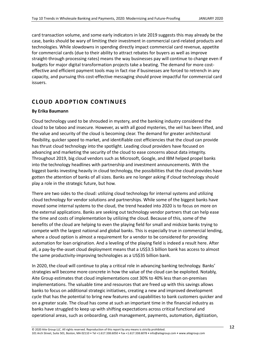card transaction volume, and some early indicators in late 2019 suggests this may already be the case, banks should be wary of limiting their investment in commercial card-related products and technologies. While slowdowns in spending directly impact commercial card revenue, appetite for commercial cards (due to their ability to attract rebates for buyers as well as improve straight-through processing rates) means the way businesses pay will continue to change even if budgets for major digital transformation projects take a beating. The demand for more costeffective and efficient payment tools may in fact rise if businesses are forced to retrench in any capacity, and pursuing this cost-effective messaging should prove impactful for commercial card issuers.

# <span id="page-12-0"></span>**CLOUD AD OPTION CONTINUES**

#### **By Erika Baumann**

Cloud technology used to be shrouded in mystery, and the banking industry considered the cloud to be taboo and insecure. However, as with all good mysteries, the veil has been lifted, and the value and security of the cloud is becoming clear. The demand for greater architectural flexibility, quicker speed to market, and identifiable cost efficiencies that the cloud can provide has thrust cloud technology into the spotlight. Leading cloud providers have focused on advancing and marketing the security of the cloud to ease concerns about data integrity. Throughout 2019, big cloud vendors such as Microsoft, Google, and IBM helped propel banks into the technology headlines with partnership and investment announcements. With the biggest banks investing heavily in cloud technology, the possibilities that the cloud provides have gotten the attention of banks of all sizes. Banks are no longer asking if cloud technology should play a role in the strategic future, but how.

There are two sides to the cloud: utilizing cloud technology for internal systems and utilizing cloud technology for vendor solutions and partnerships. While some of the biggest banks have moved some internal systems to the cloud, the trend headed into 2020 is to focus on more on the external applications. Banks are seeking out technology vendor partners that can help ease the time and costs of implementation by utilizing the cloud. Because of this, some of the benefits of the cloud are helping to even the playing field for small and midsize banks trying to compete with the largest national and global banks. This is especially true in commercial lending, where a cloud option is almost a requirement for a vendor to be considered for providing automation for loan origination. And a leveling of the playing field is indeed a result here. After all, a pay-by-the-asset cloud deployment means that a US\$3.5 billion bank has access to almost the same productivity-improving technologies as a US\$35 billion bank.

In 2020, the cloud will continue to play a critical role in advancing banking technology. Banks' strategies will become more concrete in how the value of the cloud can be exploited. Notably, Aite Group estimates that cloud implementations cost 30% to 40% less than on-premises implementations. The valuable time and resources that are freed up with this savings allows banks to focus on additional strategic initiatives, creating a new and improved development cycle that has the potential to bring new features and capabilities to bank customers quicker and on a greater scale. The cloud has come at such an important time in the financial industry as banks have struggled to keep up with shifting expectations across critical functional and operational areas, such as onboarding, cash management, payments, automation, digitization,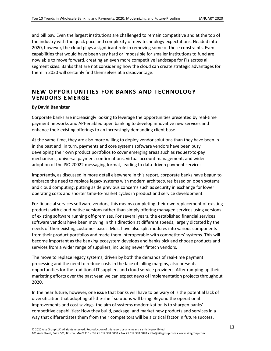and bill pay. Even the largest institutions are challenged to remain competitive and at the top of the industry with the quick pace and complexity of new technology expectations. Headed into 2020, however, the cloud plays a significant role in removing some of these constraints. Even capabilities that would have been very hard or impossible for smaller institutions to fund are now able to move forward, creating an even more competitive landscape for FIs across all segment sizes. Banks that are not considering how the cloud can create strategic advantages for them in 2020 will certainly find themselves at a disadvantage.

### <span id="page-13-0"></span>**NEW OPPORTUNITIES FOR BANKS AND TECHNOLOGY VEND ORS EMERGE**

#### **By David Bannister**

Corporate banks are increasingly looking to leverage the opportunities presented by real-time payment networks and API-enabled open banking to develop innovative new services and enhance their existing offerings to an increasingly demanding client base.

At the same time, they are also more willing to deploy vendor solutions than they have been in in the past and, in turn, payments and core systems software vendors have been busy developing their own product portfolios to cover emerging areas such as request-to-pay mechanisms, universal payment confirmations, virtual account management, and wider adoption of the ISO 20022 messaging format, leading to data-driven payment services.

Importantly, as discussed in more detail elsewhere in this report, corporate banks have begun to embrace the need to replace legacy systems with modern architectures based on open systems and cloud computing, putting aside previous concerns such as security in exchange for lower operating costs and shorter time-to-market cycles in product and service development.

For financial services software vendors, this means completing their own replacement of existing products with cloud-native versions rather than simply offering managed services using versions of existing software running off-premises. For several years, the established financial services software vendors have been moving in this direction at different speeds, largely dictated by the needs of their existing customer bases. Most have also split modules into various components from their product portfolios and made them interoperable with competitors' systems. This will become important as the banking ecosystem develops and banks pick and choose products and services from a wider range of suppliers, including newer fintech vendors.

The move to replace legacy systems, driven by both the demands of real-time payment processing and the need to reduce costs in the face of falling margins, also presents opportunities for the traditional IT suppliers and cloud service providers. After ramping up their marketing efforts over the past year, we can expect news of implementation projects throughout 2020.

In the near future, however, one issue that banks will have to be wary of is the potential lack of diversification that adopting off-the-shelf solutions will bring. Beyond the operational improvements and cost savings, the aim of systems modernization is to sharpen banks' competitive capabilities: How they build, package, and market new products and services in a way that differentiates them from their competitors will be a critical factor in future success.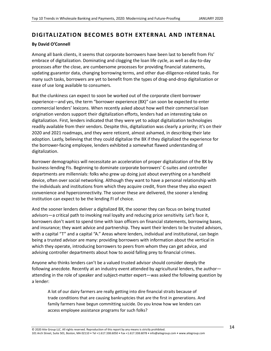## <span id="page-14-0"></span>**D IGITALIZATION B ECOMES BOTH EXTERNAL AND INTERNAL**

#### **By David O'Connell**

Among all bank clients, it seems that corporate borrowers have been last to benefit from FIs' embrace of digitalization. Dominating and clogging the loan life cycle, as well as day-to-day processes after the close, are cumbersome processes for providing financial statements, updating guarantor data, changing borrowing terms, and other due-diligence-related tasks. For many such tasks, borrowers are yet to benefit from the types of drag-and-drop digitalization or ease of use long available to consumers.

But the clunkiness can expect to soon be worked out of the corporate client borrower experience—and yes, the term "borrower experience (BX)" can soon be expected to enter commercial lenders' lexicons. When recently asked about how well their commercial loan origination vendors support their digitalization efforts, lenders had an interesting take on digitalization. First, lenders indicated that they were yet to adopt digitalization technologies readily available from their vendors. Despite this, digitalization was clearly a priority; it's on their 2020 and 2021 roadmaps, and they were reticent, almost ashamed, in describing their late adoption. Lastly, believing that they could digitalize the BX if they digitalized the experience for the borrower-facing employee, lenders exhibited a somewhat flawed understanding of digitalization.

Borrower demographics will necessitate an acceleration of proper digitalization of the BX by business-lending FIs. Beginning to dominate corporate borrowers' C-suites and controller departments are millennials: folks who grew up doing just about everything on a handheld device, often over social networking. Although they want to have a personal relationship with the individuals and institutions from which they acquire credit, from these they also expect convenience and hyperconnectivity. The sooner these are delivered, the sooner a lending institution can expect to be the lending FI of choice.

And the sooner lenders deliver a digitalized BX, the sooner they can focus on being trusted advisors—a critical path to invoking real loyalty and reducing price sensitivity. Let's face it, borrowers don't want to spend time with loan officers on financial statements, borrowing bases, and insurance; they want advice and partnership. They want their lenders to be trusted advisors, with a capital "T" and a capital "A." Areas where lenders, individual and institutional, can begin being a trusted advisor are many: providing borrowers with information about the vertical in which they operate, introducing borrowers to peers from whom they can get advice, and advising controller departments about how to avoid falling prey to financial crimes.

Anyone who thinks lenders can't be a valued trusted advisor should consider deeply the following anecdote. Recently at an industry event attended by agricultural lenders, the authorattending in the role of speaker and subject-matter expert—was asked the following question by a lender:

A lot of our dairy farmers are really getting into dire financial straits because of trade conditions that are causing bankruptcies that are the first in generations. And family farmers have begun committing suicide. Do you know how we lenders can access employee assistance programs for such folks?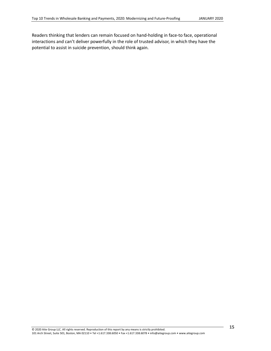Readers thinking that lenders can remain focused on hand-holding in face-to face, operational interactions and can't deliver powerfully in the role of trusted advisor, in which they have the potential to assist in suicide prevention, should think again.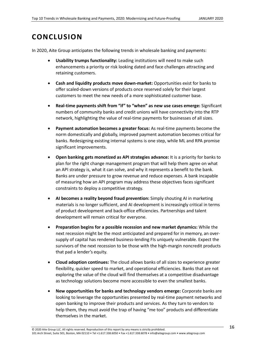# <span id="page-16-0"></span>**CONCLUSION**

In 2020, Aite Group anticipates the following trends in wholesale banking and payments:

- **Usability trumps functionality:** Leading institutions will need to make such enhancements a priority or risk looking dated and face challenges attracting and retaining customers.
- **Cash and liquidity products move down-market:** Opportunities exist for banks to offer scaled-down versions of products once reserved solely for their largest customers to meet the new needs of a more sophisticated customer base.
- **Real-time payments shift from "if" to "when" as new use cases emerge:** Significant numbers of community banks and credit unions will have connectivity into the RTP network, highlighting the value of real-time payments for businesses of all sizes.
- **Payment automation becomes a greater focus:** As real-time payments become the norm domestically and globally, improved payment automation becomes critical for banks. Redesigning existing internal systems is one step, while ML and RPA promise significant improvements.
- **Open banking gets monetized as API strategies advance:** It is a priority for banks to plan for the right change management program that will help them agree on what an API strategy is, what it can solve, and why it represents a benefit to the bank. Banks are under pressure to grow revenue and reduce expenses. A bank incapable of measuring how an API program may address these objectives faces significant constraints to deploy a competitive strategy.
- **AI becomes a reality beyond fraud prevention:** Simply shouting AI in marketing materials is no longer sufficient, and AI development is increasingly critical in terms of product development and back-office efficiencies. Partnerships and talent development will remain critical for everyone.
- **Preparation begins for a possible recession and new market dynamics:** While the next recession might be the most anticipated and prepared for in memory, an oversupply of capital has rendered business-lending FIs uniquely vulnerable. Expect the survivors of the next recession to be those with the high-margin noncredit products that pad a lender's equity.
- **Cloud adoption continues:** The cloud allows banks of all sizes to experience greater flexibility, quicker speed to market, and operational efficiencies. Banks that are not exploring the value of the cloud will find themselves at a competitive disadvantage as technology solutions become more accessible to even the smallest banks.
- **New opportunities for banks and technology vendors emerge:** Corporate banks are looking to leverage the opportunities presented by real-time payment networks and open banking to improve their products and services. As they turn to vendors to help them, they must avoid the trap of having "me too" products and differentiate themselves in the market.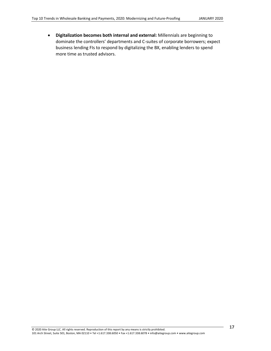• **Digitalization becomes both internal and external:** Millennials are beginning to dominate the controllers' departments and C-suites of corporate borrowers; expect business lending FIs to respond by digitalizing the BX, enabling lenders to spend more time as trusted advisors.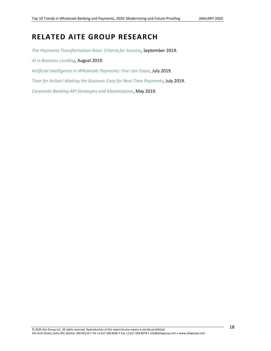# <span id="page-18-0"></span>**RELATED AITE GROUP RESEARCH**

*[The Payments Transformation Race: Criteria for Success](https://www.aitegroup.com/report/payments-transformation-race-criteria-success)*, September 2019.

*[AI in Business Lending,](https://aitegroup.com/report/ai-business-lending)* August 2019*.*

*[Artificial Intelligence in Wholesale Payments: Five Use Cases](https://aitegroup.com/report/artificial-intelligence-wholesale-payments-five-use-cases)*, July 2019.

*[Time for Action! Making the Business Case for Real-Time Payments](https://aitegroup.com/report/time-action-making-business-case-real-time-payments)*, July 2019.

*[Corporate Banking API Strategies and Monetization](https://aitegroup.com/report/corporate-banking-api-strategies-and-monetization)*, May 2019.